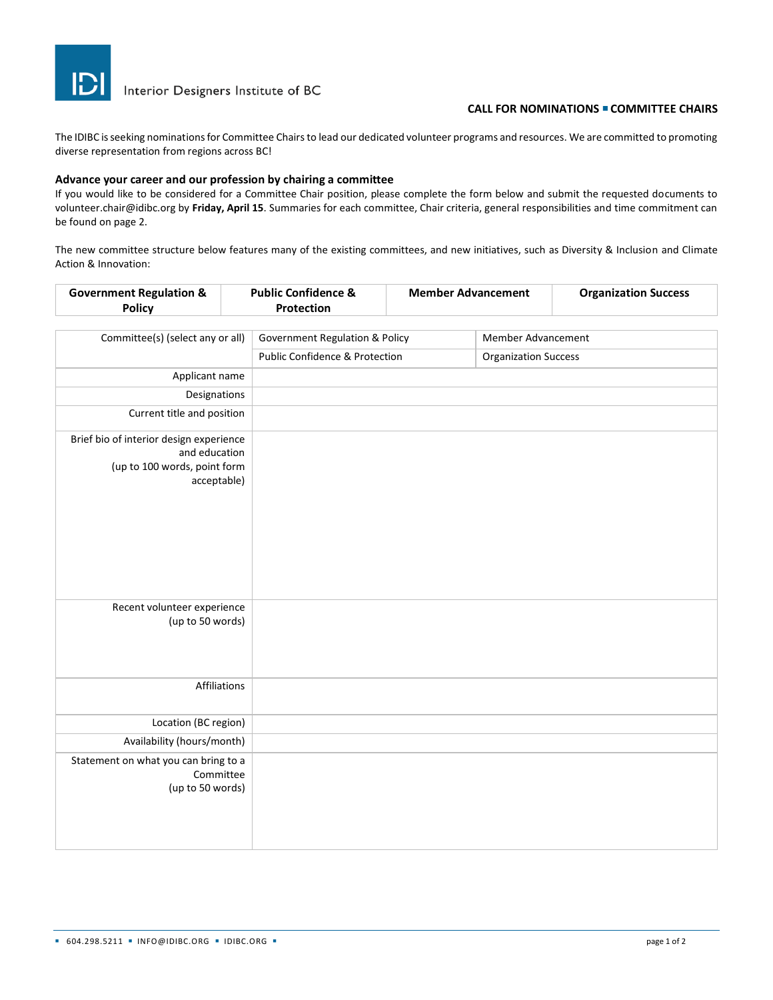

Interior Designers Institute of BC

#### **CALL FOR NOMINATIONS** <sup>◼</sup> **COMMITTEE CHAIRS**

The IDIBC is seeking nominations for Committee Chairs to lead our dedicated volunteer programs and resources. We are committed to promoting diverse representation from regions across BC!

### **Advance your career and our profession by chairing a committee**

If you would like to be considered for a Committee Chair position, please complete the form below and submit the requested documents to volunteer.chair@idibc.org by **Friday, April 15**. Summaries for each committee, Chair criteria, general responsibilities and time commitment can be found on page 2.

The new committee structure below features many of the existing committees, and new initiatives, such as Diversity & Inclusion and Climate Action & Innovation:

| <b>Government Regulation &amp;</b><br><b>Policy</b>                                                     |  | <b>Public Confidence &amp;</b><br>Protection | <b>Member Advancement</b> |                             | <b>Organization Success</b> |
|---------------------------------------------------------------------------------------------------------|--|----------------------------------------------|---------------------------|-----------------------------|-----------------------------|
| Committee(s) (select any or all)                                                                        |  | <b>Government Regulation &amp; Policy</b>    |                           | Member Advancement          |                             |
|                                                                                                         |  | <b>Public Confidence &amp; Protection</b>    |                           | <b>Organization Success</b> |                             |
| Applicant name                                                                                          |  |                                              |                           |                             |                             |
| Designations                                                                                            |  |                                              |                           |                             |                             |
| Current title and position                                                                              |  |                                              |                           |                             |                             |
| Brief bio of interior design experience<br>and education<br>(up to 100 words, point form<br>acceptable) |  |                                              |                           |                             |                             |
| Recent volunteer experience<br>(up to 50 words)                                                         |  |                                              |                           |                             |                             |
| Affiliations                                                                                            |  |                                              |                           |                             |                             |
| Location (BC region)                                                                                    |  |                                              |                           |                             |                             |
| Availability (hours/month)                                                                              |  |                                              |                           |                             |                             |
| Statement on what you can bring to a<br>Committee<br>(up to 50 words)                                   |  |                                              |                           |                             |                             |